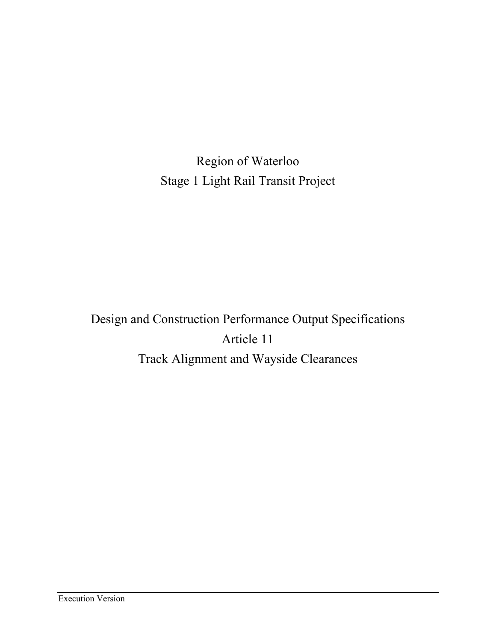Region of Waterloo Stage 1 Light Rail Transit Project

Design and Construction Performance Output Specifications Article 11 Track Alignment and Wayside Clearances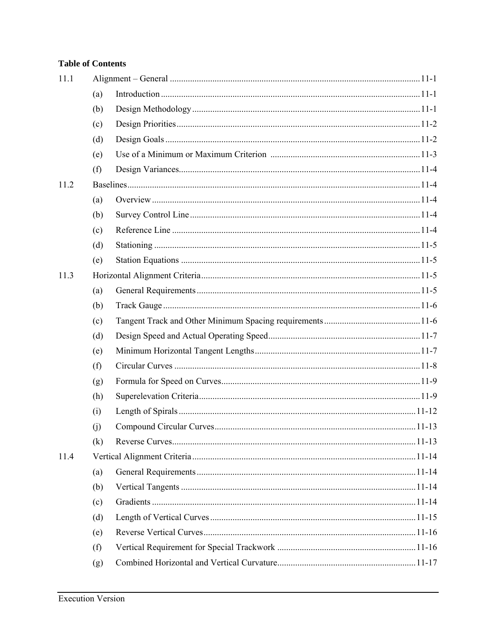# **Table of Contents**

| 11.1 |     |  |  |
|------|-----|--|--|
|      | (a) |  |  |
|      | (b) |  |  |
|      | (c) |  |  |
|      | (d) |  |  |
|      | (e) |  |  |
|      | (f) |  |  |
| 11.2 |     |  |  |
|      | (a) |  |  |
|      | (b) |  |  |
|      | (c) |  |  |
|      | (d) |  |  |
|      | (e) |  |  |
| 11.3 |     |  |  |
|      | (a) |  |  |
|      | (b) |  |  |
|      | (c) |  |  |
|      | (d) |  |  |
|      | (e) |  |  |
|      | (f) |  |  |
|      | (g) |  |  |
|      | (h) |  |  |
|      | (i) |  |  |
|      | (i) |  |  |
|      | (k) |  |  |
| 11.4 |     |  |  |
|      | (a) |  |  |
|      | (b) |  |  |
|      | (c) |  |  |
|      | (d) |  |  |
|      | (e) |  |  |
|      | (f) |  |  |
|      | (g) |  |  |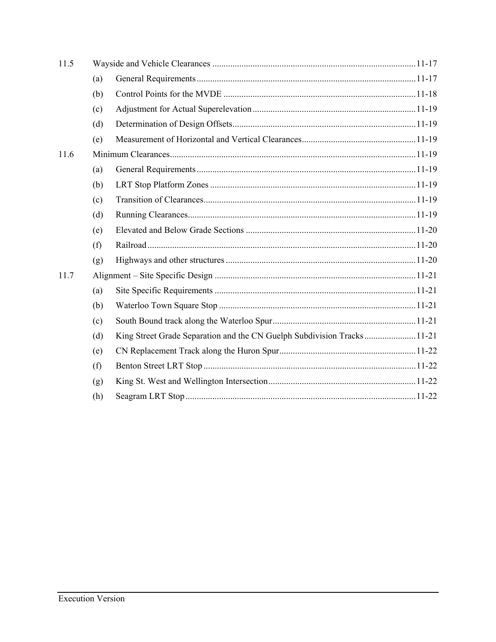| 11.5 |     |  |  |
|------|-----|--|--|
|      | (a) |  |  |
|      | (b) |  |  |
|      | (c) |  |  |
|      | (d) |  |  |
|      | (e) |  |  |
| 11.6 |     |  |  |
|      | (a) |  |  |
|      | (b) |  |  |
|      | (c) |  |  |
|      | (d) |  |  |
|      | (e) |  |  |
|      | (f) |  |  |
|      | (g) |  |  |
| 11.7 |     |  |  |
|      | (a) |  |  |
|      | (b) |  |  |
|      | (c) |  |  |
|      | (d) |  |  |
|      | (e) |  |  |
|      | (f) |  |  |
|      | (g) |  |  |
|      | (h) |  |  |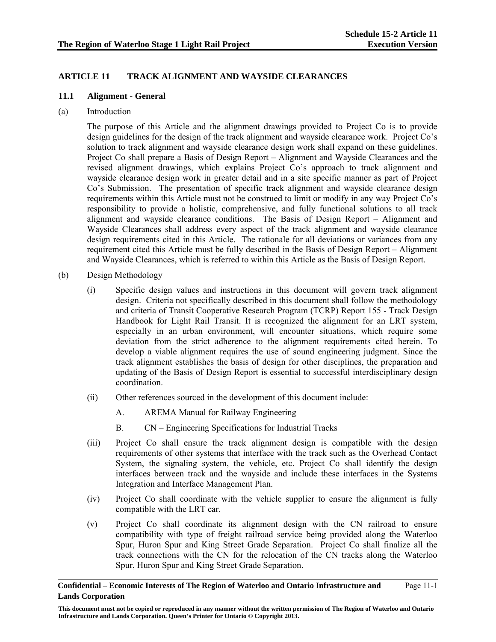# **ARTICLE 11 TRACK ALIGNMENT AND WAYSIDE CLEARANCES**

## **11.1 Alignment - General**

(a) Introduction

The purpose of this Article and the alignment drawings provided to Project Co is to provide design guidelines for the design of the track alignment and wayside clearance work. Project Co's solution to track alignment and wayside clearance design work shall expand on these guidelines. Project Co shall prepare a Basis of Design Report – Alignment and Wayside Clearances and the revised alignment drawings, which explains Project Co's approach to track alignment and wayside clearance design work in greater detail and in a site specific manner as part of Project Co's Submission. The presentation of specific track alignment and wayside clearance design requirements within this Article must not be construed to limit or modify in any way Project Co's responsibility to provide a holistic, comprehensive, and fully functional solutions to all track alignment and wayside clearance conditions. The Basis of Design Report – Alignment and Wayside Clearances shall address every aspect of the track alignment and wayside clearance design requirements cited in this Article. The rationale for all deviations or variances from any requirement cited this Article must be fully described in the Basis of Design Report – Alignment and Wayside Clearances, which is referred to within this Article as the Basis of Design Report.

- (b) Design Methodology
	- (i) Specific design values and instructions in this document will govern track alignment design. Criteria not specifically described in this document shall follow the methodology and criteria of Transit Cooperative Research Program (TCRP) Report 155 - Track Design Handbook for Light Rail Transit. It is recognized the alignment for an LRT system, especially in an urban environment, will encounter situations, which require some deviation from the strict adherence to the alignment requirements cited herein. To develop a viable alignment requires the use of sound engineering judgment. Since the track alignment establishes the basis of design for other disciplines, the preparation and updating of the Basis of Design Report is essential to successful interdisciplinary design coordination.
	- (ii) Other references sourced in the development of this document include:
		- A. AREMA Manual for Railway Engineering
		- B. CN Engineering Specifications for Industrial Tracks
	- (iii) Project Co shall ensure the track alignment design is compatible with the design requirements of other systems that interface with the track such as the Overhead Contact System, the signaling system, the vehicle, etc. Project Co shall identify the design interfaces between track and the wayside and include these interfaces in the Systems Integration and Interface Management Plan.
	- (iv) Project Co shall coordinate with the vehicle supplier to ensure the alignment is fully compatible with the LRT car.
	- (v) Project Co shall coordinate its alignment design with the CN railroad to ensure compatibility with type of freight railroad service being provided along the Waterloo Spur, Huron Spur and King Street Grade Separation. Project Co shall finalize all the track connections with the CN for the relocation of the CN tracks along the Waterloo Spur, Huron Spur and King Street Grade Separation.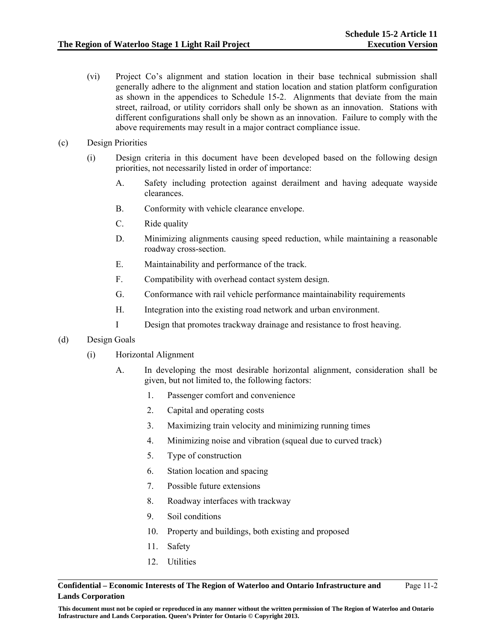- (vi) Project Co's alignment and station location in their base technical submission shall generally adhere to the alignment and station location and station platform configuration as shown in the appendices to Schedule 15-2. Alignments that deviate from the main street, railroad, or utility corridors shall only be shown as an innovation. Stations with different configurations shall only be shown as an innovation. Failure to comply with the above requirements may result in a major contract compliance issue.
- (c) Design Priorities
	- (i) Design criteria in this document have been developed based on the following design priorities, not necessarily listed in order of importance:
		- A. Safety including protection against derailment and having adequate wayside clearances.
		- B. Conformity with vehicle clearance envelope.
		- C. Ride quality
		- D. Minimizing alignments causing speed reduction, while maintaining a reasonable roadway cross-section.
		- E. Maintainability and performance of the track.
		- F. Compatibility with overhead contact system design.
		- G. Conformance with rail vehicle performance maintainability requirements
		- H. Integration into the existing road network and urban environment.
		- I Design that promotes trackway drainage and resistance to frost heaving.
- (d) Design Goals
	- (i) Horizontal Alignment
		- A. In developing the most desirable horizontal alignment, consideration shall be given, but not limited to, the following factors:
			- 1. Passenger comfort and convenience
			- 2. Capital and operating costs
			- 3. Maximizing train velocity and minimizing running times
			- 4. Minimizing noise and vibration (squeal due to curved track)
			- 5. Type of construction
			- 6. Station location and spacing
			- 7. Possible future extensions
			- 8. Roadway interfaces with trackway
			- 9. Soil conditions
			- 10. Property and buildings, both existing and proposed
			- 11. Safety
			- 12. Utilities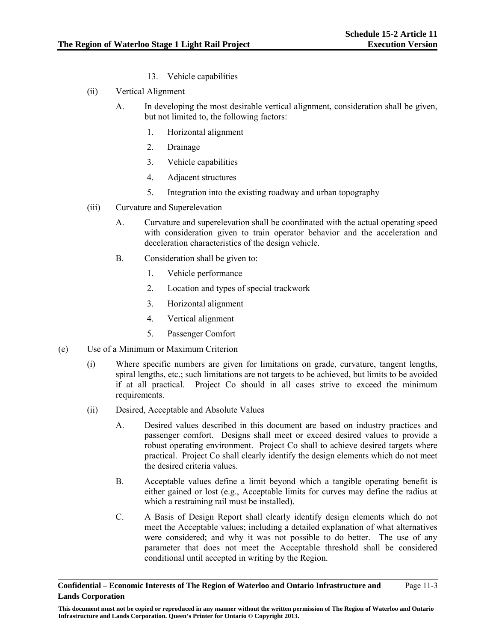- 13. Vehicle capabilities
- (ii) Vertical Alignment
	- A. In developing the most desirable vertical alignment, consideration shall be given, but not limited to, the following factors:
		- 1. Horizontal alignment
		- 2. Drainage
		- 3. Vehicle capabilities
		- 4. Adjacent structures
		- 5. Integration into the existing roadway and urban topography
- (iii) Curvature and Superelevation
	- A. Curvature and superelevation shall be coordinated with the actual operating speed with consideration given to train operator behavior and the acceleration and deceleration characteristics of the design vehicle.
	- B. Consideration shall be given to:
		- 1. Vehicle performance
		- 2. Location and types of special trackwork
		- 3. Horizontal alignment
		- 4. Vertical alignment
		- 5. Passenger Comfort
- (e) Use of a Minimum or Maximum Criterion
	- (i) Where specific numbers are given for limitations on grade, curvature, tangent lengths, spiral lengths, etc.; such limitations are not targets to be achieved, but limits to be avoided if at all practical. Project Co should in all cases strive to exceed the minimum requirements.
	- (ii) Desired, Acceptable and Absolute Values
		- A. Desired values described in this document are based on industry practices and passenger comfort. Designs shall meet or exceed desired values to provide a robust operating environment. Project Co shall to achieve desired targets where practical. Project Co shall clearly identify the design elements which do not meet the desired criteria values.
		- B. Acceptable values define a limit beyond which a tangible operating benefit is either gained or lost (e.g., Acceptable limits for curves may define the radius at which a restraining rail must be installed).
		- C. A Basis of Design Report shall clearly identify design elements which do not meet the Acceptable values; including a detailed explanation of what alternatives were considered; and why it was not possible to do better. The use of any parameter that does not meet the Acceptable threshold shall be considered conditional until accepted in writing by the Region.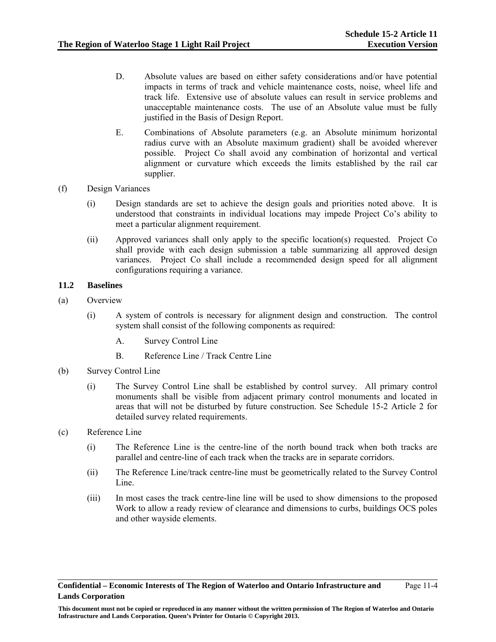- D. Absolute values are based on either safety considerations and/or have potential impacts in terms of track and vehicle maintenance costs, noise, wheel life and track life. Extensive use of absolute values can result in service problems and unacceptable maintenance costs. The use of an Absolute value must be fully justified in the Basis of Design Report.
- E. Combinations of Absolute parameters (e.g. an Absolute minimum horizontal radius curve with an Absolute maximum gradient) shall be avoided wherever possible. Project Co shall avoid any combination of horizontal and vertical alignment or curvature which exceeds the limits established by the rail car supplier.
- (f) Design Variances
	- (i) Design standards are set to achieve the design goals and priorities noted above. It is understood that constraints in individual locations may impede Project Co's ability to meet a particular alignment requirement.
	- (ii) Approved variances shall only apply to the specific location(s) requested. Project Co shall provide with each design submission a table summarizing all approved design variances. Project Co shall include a recommended design speed for all alignment configurations requiring a variance.

# **11.2 Baselines**

- (a) Overview
	- (i) A system of controls is necessary for alignment design and construction. The control system shall consist of the following components as required:
		- A. Survey Control Line
		- B. Reference Line / Track Centre Line
- (b) Survey Control Line
	- (i) The Survey Control Line shall be established by control survey. All primary control monuments shall be visible from adjacent primary control monuments and located in areas that will not be disturbed by future construction. See Schedule 15-2 Article 2 for detailed survey related requirements.
- (c) Reference Line
	- (i) The Reference Line is the centre-line of the north bound track when both tracks are parallel and centre-line of each track when the tracks are in separate corridors.
	- (ii) The Reference Line/track centre-line must be geometrically related to the Survey Control Line.
	- (iii) In most cases the track centre-line line will be used to show dimensions to the proposed Work to allow a ready review of clearance and dimensions to curbs, buildings OCS poles and other wayside elements.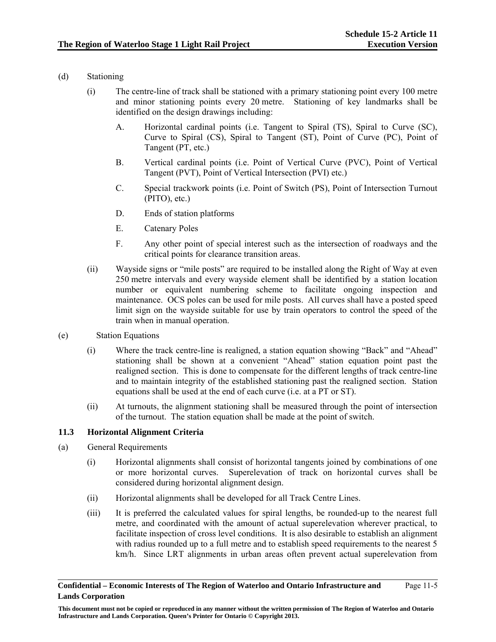# (d) Stationing

- (i) The centre-line of track shall be stationed with a primary stationing point every 100 metre and minor stationing points every 20 metre. Stationing of key landmarks shall be identified on the design drawings including:
	- A. Horizontal cardinal points (i.e. Tangent to Spiral (TS), Spiral to Curve (SC), Curve to Spiral (CS), Spiral to Tangent (ST), Point of Curve (PC), Point of Tangent (PT, etc.)
	- B. Vertical cardinal points (i.e. Point of Vertical Curve (PVC), Point of Vertical Tangent (PVT), Point of Vertical Intersection (PVI) etc.)
	- C. Special trackwork points (i.e. Point of Switch (PS), Point of Intersection Turnout (PITO), etc.)
	- D. Ends of station platforms
	- E. Catenary Poles
	- F. Any other point of special interest such as the intersection of roadways and the critical points for clearance transition areas.
- (ii) Wayside signs or "mile posts" are required to be installed along the Right of Way at even 250 metre intervals and every wayside element shall be identified by a station location number or equivalent numbering scheme to facilitate ongoing inspection and maintenance. OCS poles can be used for mile posts. All curves shall have a posted speed limit sign on the wayside suitable for use by train operators to control the speed of the train when in manual operation.
- (e) Station Equations
	- (i) Where the track centre-line is realigned, a station equation showing "Back" and "Ahead" stationing shall be shown at a convenient "Ahead" station equation point past the realigned section. This is done to compensate for the different lengths of track centre-line and to maintain integrity of the established stationing past the realigned section. Station equations shall be used at the end of each curve (i.e. at a PT or ST).
	- (ii) At turnouts, the alignment stationing shall be measured through the point of intersection of the turnout. The station equation shall be made at the point of switch.

# **11.3 Horizontal Alignment Criteria**

- (a) General Requirements
	- (i) Horizontal alignments shall consist of horizontal tangents joined by combinations of one or more horizontal curves. Superelevation of track on horizontal curves shall be considered during horizontal alignment design.
	- (ii) Horizontal alignments shall be developed for all Track Centre Lines.
	- (iii) It is preferred the calculated values for spiral lengths, be rounded-up to the nearest full metre, and coordinated with the amount of actual superelevation wherever practical, to facilitate inspection of cross level conditions. It is also desirable to establish an alignment with radius rounded up to a full metre and to establish speed requirements to the nearest 5 km/h. Since LRT alignments in urban areas often prevent actual superelevation from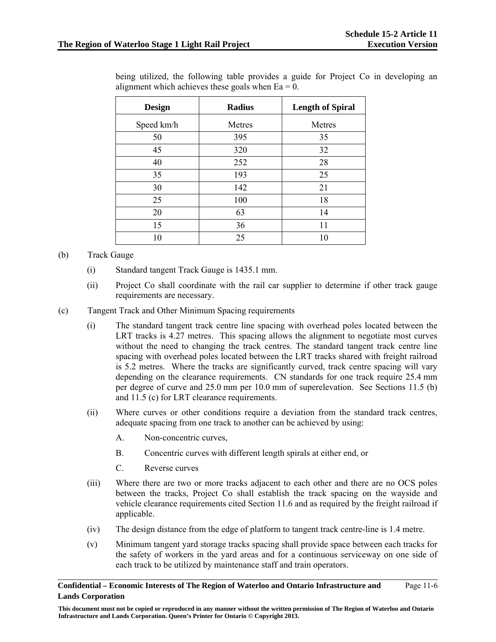| <b>Design</b> | Radius | <b>Length of Spiral</b> |  |
|---------------|--------|-------------------------|--|
| Speed km/h    | Metres | Metres                  |  |
| 50            | 395    | 35                      |  |
| 45            | 320    | 32                      |  |
| 40            | 252    | 28                      |  |
| 35            | 193    | 25                      |  |
| 30            | 142    | 21                      |  |
| 25            | 100    | 18                      |  |
| 20            | 63     | 14                      |  |
| 15            | 36     | 11                      |  |
| 10            | 25     | 10                      |  |

being utilized, the following table provides a guide for Project Co in developing an alignment which achieves these goals when  $Ea = 0$ .

### (b) Track Gauge

- (i) Standard tangent Track Gauge is 1435.1 mm.
- (ii) Project Co shall coordinate with the rail car supplier to determine if other track gauge requirements are necessary.
- (c) Tangent Track and Other Minimum Spacing requirements
	- (i) The standard tangent track centre line spacing with overhead poles located between the LRT tracks is 4.27 metres. This spacing allows the alignment to negotiate most curves without the need to changing the track centres. The standard tangent track centre line spacing with overhead poles located between the LRT tracks shared with freight railroad is 5.2 metres. Where the tracks are significantly curved, track centre spacing will vary depending on the clearance requirements. CN standards for one track require 25.4 mm per degree of curve and 25.0 mm per 10.0 mm of superelevation. See Sections 11.5 (b) and 11.5 (c) for LRT clearance requirements.
	- (ii) Where curves or other conditions require a deviation from the standard track centres, adequate spacing from one track to another can be achieved by using:
		- A. Non-concentric curves,
		- B. Concentric curves with different length spirals at either end, or
		- C. Reverse curves
	- (iii) Where there are two or more tracks adjacent to each other and there are no OCS poles between the tracks, Project Co shall establish the track spacing on the wayside and vehicle clearance requirements cited Section 11.6 and as required by the freight railroad if applicable.
	- (iv) The design distance from the edge of platform to tangent track centre-line is 1.4 metre.
	- (v) Minimum tangent yard storage tracks spacing shall provide space between each tracks for the safety of workers in the yard areas and for a continuous serviceway on one side of each track to be utilized by maintenance staff and train operators.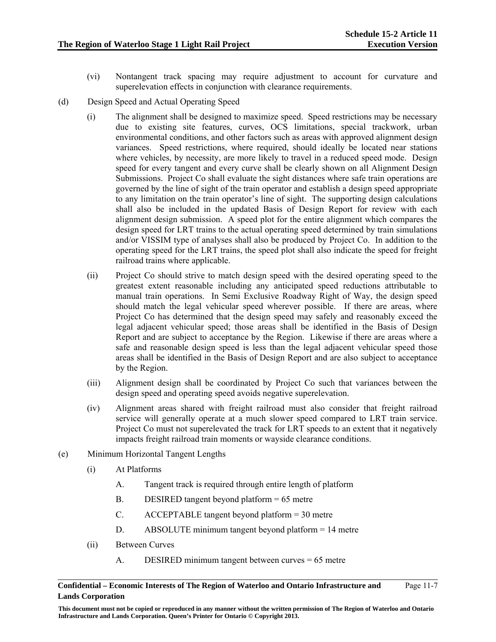- (vi) Nontangent track spacing may require adjustment to account for curvature and superelevation effects in conjunction with clearance requirements.
- (d) Design Speed and Actual Operating Speed
	- (i) The alignment shall be designed to maximize speed. Speed restrictions may be necessary due to existing site features, curves, OCS limitations, special trackwork, urban environmental conditions, and other factors such as areas with approved alignment design variances. Speed restrictions, where required, should ideally be located near stations where vehicles, by necessity, are more likely to travel in a reduced speed mode. Design speed for every tangent and every curve shall be clearly shown on all Alignment Design Submissions. Project Co shall evaluate the sight distances where safe train operations are governed by the line of sight of the train operator and establish a design speed appropriate to any limitation on the train operator's line of sight. The supporting design calculations shall also be included in the updated Basis of Design Report for review with each alignment design submission. A speed plot for the entire alignment which compares the design speed for LRT trains to the actual operating speed determined by train simulations and/or VISSIM type of analyses shall also be produced by Project Co. In addition to the operating speed for the LRT trains, the speed plot shall also indicate the speed for freight railroad trains where applicable.
	- (ii) Project Co should strive to match design speed with the desired operating speed to the greatest extent reasonable including any anticipated speed reductions attributable to manual train operations. In Semi Exclusive Roadway Right of Way, the design speed should match the legal vehicular speed wherever possible. If there are areas, where Project Co has determined that the design speed may safely and reasonably exceed the legal adjacent vehicular speed; those areas shall be identified in the Basis of Design Report and are subject to acceptance by the Region. Likewise if there are areas where a safe and reasonable design speed is less than the legal adjacent vehicular speed those areas shall be identified in the Basis of Design Report and are also subject to acceptance by the Region.
	- (iii) Alignment design shall be coordinated by Project Co such that variances between the design speed and operating speed avoids negative superelevation.
	- (iv) Alignment areas shared with freight railroad must also consider that freight railroad service will generally operate at a much slower speed compared to LRT train service. Project Co must not superelevated the track for LRT speeds to an extent that it negatively impacts freight railroad train moments or wayside clearance conditions.
- (e) Minimum Horizontal Tangent Lengths
	- (i) At Platforms
		- A. Tangent track is required through entire length of platform
		- B. DESIRED tangent beyond platform = 65 metre
		- C. ACCEPTABLE tangent beyond platform = 30 metre
		- D. ABSOLUTE minimum tangent beyond platform = 14 metre
	- (ii) Between Curves
		- A. DESIRED minimum tangent between curves = 65 metre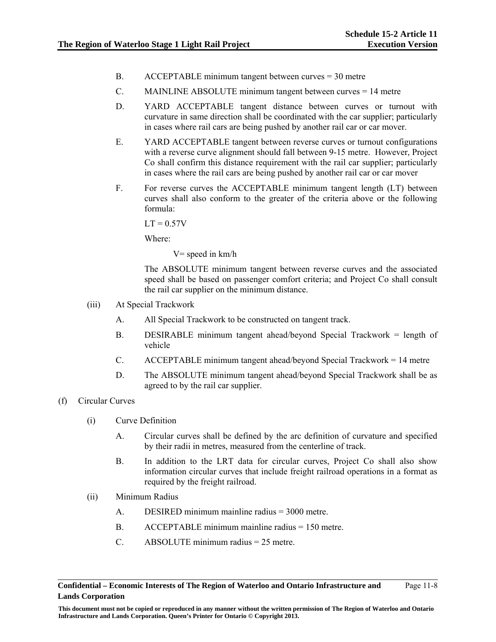- B. ACCEPTABLE minimum tangent between curves = 30 metre
- C. MAINLINE ABSOLUTE minimum tangent between curves = 14 metre
- D. YARD ACCEPTABLE tangent distance between curves or turnout with curvature in same direction shall be coordinated with the car supplier; particularly in cases where rail cars are being pushed by another rail car or car mover.
- E. YARD ACCEPTABLE tangent between reverse curves or turnout configurations with a reverse curve alignment should fall between 9-15 metre. However, Project Co shall confirm this distance requirement with the rail car supplier; particularly in cases where the rail cars are being pushed by another rail car or car mover
- F. For reverse curves the ACCEPTABLE minimum tangent length (LT) between curves shall also conform to the greater of the criteria above or the following formula:

 $LT = 0.57V$ 

Where:

 $V=$  speed in  $km/h$ 

The ABSOLUTE minimum tangent between reverse curves and the associated speed shall be based on passenger comfort criteria; and Project Co shall consult the rail car supplier on the minimum distance.

- (iii) At Special Trackwork
	- A. All Special Trackwork to be constructed on tangent track.
	- B. DESIRABLE minimum tangent ahead/beyond Special Trackwork = length of vehicle
	- C. ACCEPTABLE minimum tangent ahead/beyond Special Trackwork = 14 metre
	- D. The ABSOLUTE minimum tangent ahead/beyond Special Trackwork shall be as agreed to by the rail car supplier.
- (f) Circular Curves
	- (i) Curve Definition
		- A. Circular curves shall be defined by the arc definition of curvature and specified by their radii in metres, measured from the centerline of track.
		- B. In addition to the LRT data for circular curves, Project Co shall also show information circular curves that include freight railroad operations in a format as required by the freight railroad.
	- (ii) Minimum Radius
		- A. DESIRED minimum mainline radius = 3000 metre.
		- B. ACCEPTABLE minimum mainline radius = 150 metre.
		- C. ABSOLUTE minimum radius = 25 metre.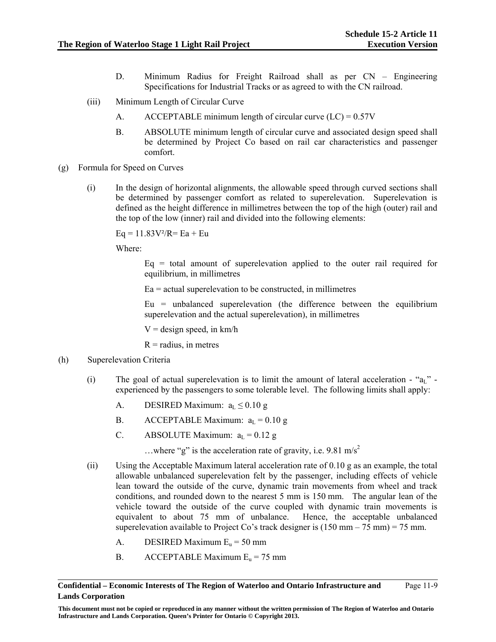- D. Minimum Radius for Freight Railroad shall as per CN Engineering Specifications for Industrial Tracks or as agreed to with the CN railroad.
- (iii) Minimum Length of Circular Curve
	- A. ACCEPTABLE minimum length of circular curve  $(LC) = 0.57V$
	- B. ABSOLUTE minimum length of circular curve and associated design speed shall be determined by Project Co based on rail car characteristics and passenger comfort.
- (g) Formula for Speed on Curves
	- (i) In the design of horizontal alignments, the allowable speed through curved sections shall be determined by passenger comfort as related to superelevation. Superelevation is defined as the height difference in millimetres between the top of the high (outer) rail and the top of the low (inner) rail and divided into the following elements:

 $Eq = 11.83V^{2}/R = Eq + Eu$ 

Where:

 $Eq = total$  amount of superelevation applied to the outer rail required for equilibrium, in millimetres

 $Ea =$  actual superelevation to be constructed, in millimetres

 $Eu = unbalanced superelevation$  (the difference between the equilibrium superelevation and the actual superelevation), in millimetres

 $V =$  design speed, in km/h

 $R =$  radius, in metres

- (h) Superelevation Criteria
	- (i) The goal of actual superelevation is to limit the amount of lateral acceleration " $a<sub>L</sub>$ " experienced by the passengers to some tolerable level. The following limits shall apply:
		- A. DESIRED Maximum:  $a_L \le 0.10$  g
		- B. ACCEPTABLE Maximum:  $a_L = 0.10 g$
		- C. ABSOLUTE Maximum:  $a_L = 0.12$  g

...where "g" is the acceleration rate of gravity, i.e. 9.81 m/s<sup>2</sup>

- (ii) Using the Acceptable Maximum lateral acceleration rate of 0.10 g as an example, the total allowable unbalanced superelevation felt by the passenger, including effects of vehicle lean toward the outside of the curve, dynamic train movements from wheel and track conditions, and rounded down to the nearest 5 mm is 150 mm. The angular lean of the vehicle toward the outside of the curve coupled with dynamic train movements is equivalent to about 75 mm of unbalance. Hence, the acceptable unbalanced superelevation available to Project Co's track designer is  $(150 \text{ mm} - 75 \text{ mm}) = 75 \text{ mm}$ .
	- A. DESIRED Maximum  $E_u = 50$  mm
	- B. ACCEPTABLE Maximum  $E_u = 75$  mm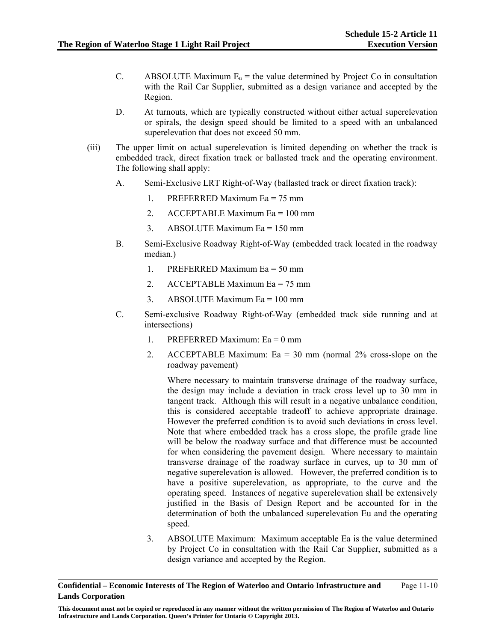- C. ABSOLUTE Maximum  $E_u$  = the value determined by Project Co in consultation with the Rail Car Supplier, submitted as a design variance and accepted by the Region.
- D. At turnouts, which are typically constructed without either actual superelevation or spirals, the design speed should be limited to a speed with an unbalanced superelevation that does not exceed 50 mm.
- (iii) The upper limit on actual superelevation is limited depending on whether the track is embedded track, direct fixation track or ballasted track and the operating environment. The following shall apply:
	- A. Semi-Exclusive LRT Right-of-Way (ballasted track or direct fixation track):
		- 1. PREFERRED Maximum Ea = 75 mm
		- 2. ACCEPTABLE Maximum Ea = 100 mm
		- 3. ABSOLUTE Maximum Ea = 150 mm
	- B. Semi-Exclusive Roadway Right-of-Way (embedded track located in the roadway median.)
		- 1. PREFERRED Maximum  $E_a = 50$  mm
		- 2. ACCEPTABLE Maximum Ea = 75 mm
		- 3. ABSOLUTE Maximum Ea = 100 mm
	- C. Semi-exclusive Roadway Right-of-Way (embedded track side running and at intersections)
		- 1. PREFERRED Maximum: Ea = 0 mm
		- 2. ACCEPTABLE Maximum:  $Ea = 30$  mm (normal 2% cross-slope on the roadway pavement)

Where necessary to maintain transverse drainage of the roadway surface, the design may include a deviation in track cross level up to 30 mm in tangent track. Although this will result in a negative unbalance condition, this is considered acceptable tradeoff to achieve appropriate drainage. However the preferred condition is to avoid such deviations in cross level. Note that where embedded track has a cross slope, the profile grade line will be below the roadway surface and that difference must be accounted for when considering the pavement design. Where necessary to maintain transverse drainage of the roadway surface in curves, up to 30 mm of negative superelevation is allowed. However, the preferred condition is to have a positive superelevation, as appropriate, to the curve and the operating speed. Instances of negative superelevation shall be extensively justified in the Basis of Design Report and be accounted for in the determination of both the unbalanced superelevation Eu and the operating speed.

3. ABSOLUTE Maximum: Maximum acceptable Ea is the value determined by Project Co in consultation with the Rail Car Supplier, submitted as a design variance and accepted by the Region.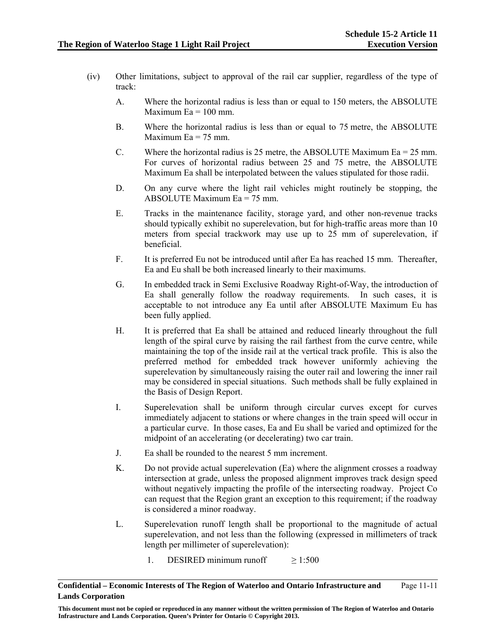- (iv) Other limitations, subject to approval of the rail car supplier, regardless of the type of track:
	- A. Where the horizontal radius is less than or equal to 150 meters, the ABSOLUTE Maximum  $Ea = 100$  mm.
	- B. Where the horizontal radius is less than or equal to 75 metre, the ABSOLUTE Maximum  $Ea = 75$  mm.
	- C. Where the horizontal radius is 25 metre, the ABSOLUTE Maximum Ea =  $25$  mm. For curves of horizontal radius between 25 and 75 metre, the ABSOLUTE Maximum Ea shall be interpolated between the values stipulated for those radii.
	- D. On any curve where the light rail vehicles might routinely be stopping, the ABSOLUTE Maximum  $Ea = 75$  mm.
	- E. Tracks in the maintenance facility, storage yard, and other non-revenue tracks should typically exhibit no superelevation, but for high-traffic areas more than 10 meters from special trackwork may use up to 25 mm of superelevation, if beneficial.
	- F. It is preferred Eu not be introduced until after Ea has reached 15 mm. Thereafter, Ea and Eu shall be both increased linearly to their maximums.
	- G. In embedded track in Semi Exclusive Roadway Right-of-Way, the introduction of Ea shall generally follow the roadway requirements. In such cases, it is acceptable to not introduce any Ea until after ABSOLUTE Maximum Eu has been fully applied.
	- H. It is preferred that Ea shall be attained and reduced linearly throughout the full length of the spiral curve by raising the rail farthest from the curve centre, while maintaining the top of the inside rail at the vertical track profile. This is also the preferred method for embedded track however uniformly achieving the superelevation by simultaneously raising the outer rail and lowering the inner rail may be considered in special situations. Such methods shall be fully explained in the Basis of Design Report.
	- I. Superelevation shall be uniform through circular curves except for curves immediately adjacent to stations or where changes in the train speed will occur in a particular curve. In those cases, Ea and Eu shall be varied and optimized for the midpoint of an accelerating (or decelerating) two car train.
	- J. Ea shall be rounded to the nearest 5 mm increment.
	- K. Do not provide actual superelevation (Ea) where the alignment crosses a roadway intersection at grade, unless the proposed alignment improves track design speed without negatively impacting the profile of the intersecting roadway. Project Co can request that the Region grant an exception to this requirement; if the roadway is considered a minor roadway.
	- L. Superelevation runoff length shall be proportional to the magnitude of actual superelevation, and not less than the following (expressed in millimeters of track length per millimeter of superelevation):
		- 1. DESIRED minimum runoff  $\geq 1:500$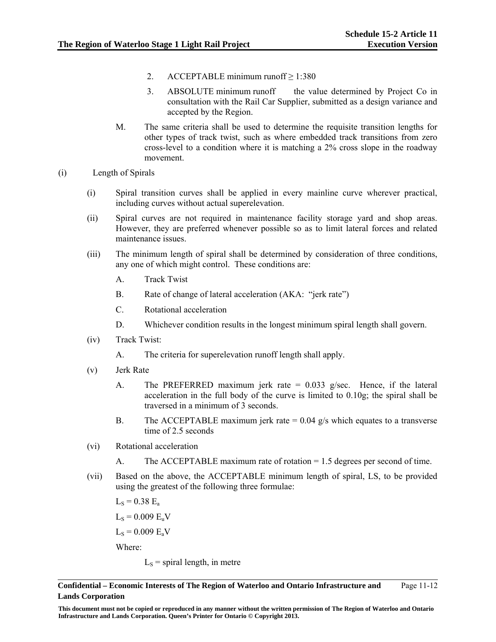- 2. ACCEPTABLE minimum runoff  $\geq 1:380$
- 3. ABSOLUTE minimum runoff the value determined by Project Co in consultation with the Rail Car Supplier, submitted as a design variance and accepted by the Region.
- M. The same criteria shall be used to determine the requisite transition lengths for other types of track twist, such as where embedded track transitions from zero cross-level to a condition where it is matching a 2% cross slope in the roadway movement.
- (i) Length of Spirals
	- (i) Spiral transition curves shall be applied in every mainline curve wherever practical, including curves without actual superelevation.
	- (ii) Spiral curves are not required in maintenance facility storage yard and shop areas. However, they are preferred whenever possible so as to limit lateral forces and related maintenance issues.
	- (iii) The minimum length of spiral shall be determined by consideration of three conditions, any one of which might control. These conditions are:
		- A. Track Twist
		- B. Rate of change of lateral acceleration (AKA: "jerk rate")
		- C. Rotational acceleration
		- D. Whichever condition results in the longest minimum spiral length shall govern.
	- (iv) Track Twist:
		- A. The criteria for superelevation runoff length shall apply.
	- (v) Jerk Rate
		- A. The PREFERRED maximum jerk rate  $= 0.033$  g/sec. Hence, if the lateral acceleration in the full body of the curve is limited to 0.10g; the spiral shall be traversed in a minimum of 3 seconds.
		- B. The ACCEPTABLE maximum jerk rate  $= 0.04$  g/s which equates to a transverse time of 2.5 seconds
	- (vi) Rotational acceleration
		- A. The ACCEPTABLE maximum rate of rotation = 1.5 degrees per second of time.
	- (vii) Based on the above, the ACCEPTABLE minimum length of spiral, LS, to be provided using the greatest of the following three formulae:
		- $L_s = 0.38$   $E_a$

 $L_s = 0.009 E_u V$ 

 $L_s = 0.009 E_a V$ 

Where:

 $L<sub>S</sub>$  = spiral length, in metre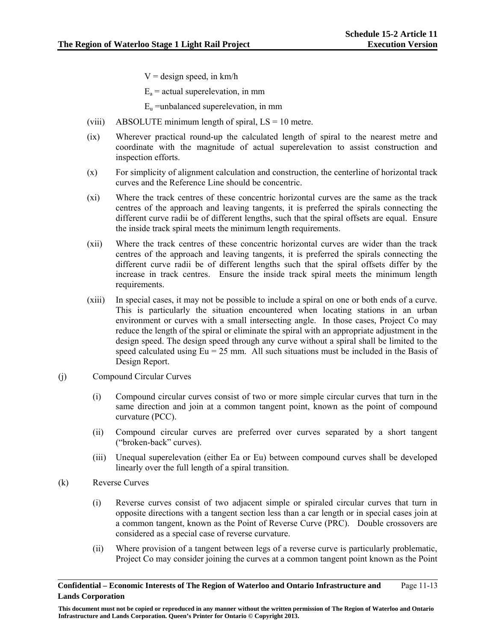$V =$  design speed, in km/h

 $E_a$  = actual superelevation, in mm

 $E<sub>u</sub>$  =unbalanced superelevation, in mm

- (viii) ABSOLUTE minimum length of spiral,  $LS = 10$  metre.
- (ix) Wherever practical round-up the calculated length of spiral to the nearest metre and coordinate with the magnitude of actual superelevation to assist construction and inspection efforts.
- (x) For simplicity of alignment calculation and construction, the centerline of horizontal track curves and the Reference Line should be concentric.
- (xi) Where the track centres of these concentric horizontal curves are the same as the track centres of the approach and leaving tangents, it is preferred the spirals connecting the different curve radii be of different lengths, such that the spiral offsets are equal. Ensure the inside track spiral meets the minimum length requirements.
- (xii) Where the track centres of these concentric horizontal curves are wider than the track centres of the approach and leaving tangents, it is preferred the spirals connecting the different curve radii be of different lengths such that the spiral offsets differ by the increase in track centres. Ensure the inside track spiral meets the minimum length requirements.
- (xiii) In special cases, it may not be possible to include a spiral on one or both ends of a curve. This is particularly the situation encountered when locating stations in an urban environment or curves with a small intersecting angle. In those cases, Project Co may reduce the length of the spiral or eliminate the spiral with an appropriate adjustment in the design speed. The design speed through any curve without a spiral shall be limited to the speed calculated using  $Eu = 25$  mm. All such situations must be included in the Basis of Design Report.
- (j) Compound Circular Curves
	- (i) Compound circular curves consist of two or more simple circular curves that turn in the same direction and join at a common tangent point, known as the point of compound curvature (PCC).
	- (ii) Compound circular curves are preferred over curves separated by a short tangent ("broken-back" curves).
	- (iii) Unequal superelevation (either Ea or Eu) between compound curves shall be developed linearly over the full length of a spiral transition.
- (k) Reverse Curves
	- (i) Reverse curves consist of two adjacent simple or spiraled circular curves that turn in opposite directions with a tangent section less than a car length or in special cases join at a common tangent, known as the Point of Reverse Curve (PRC). Double crossovers are considered as a special case of reverse curvature.
	- (ii) Where provision of a tangent between legs of a reverse curve is particularly problematic, Project Co may consider joining the curves at a common tangent point known as the Point

**Confidential – Economic Interests of The Region of Waterloo and Ontario Infrastructure and Lands Corporation**  Page 11-13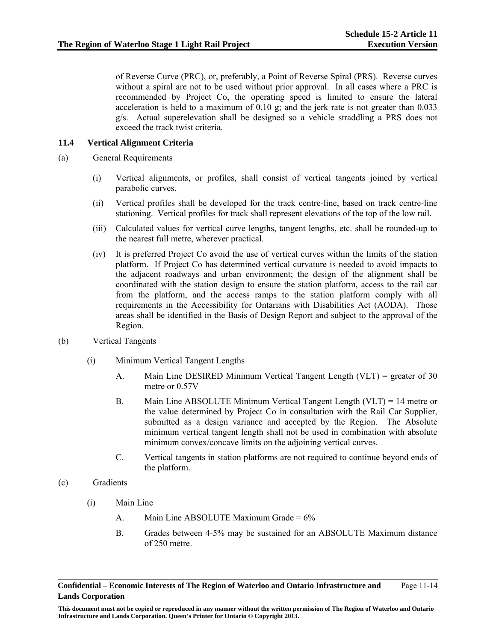of Reverse Curve (PRC), or, preferably, a Point of Reverse Spiral (PRS). Reverse curves without a spiral are not to be used without prior approval. In all cases where a PRC is recommended by Project Co, the operating speed is limited to ensure the lateral acceleration is held to a maximum of  $0.10$  g; and the jerk rate is not greater than  $0.033$ g/s. Actual superelevation shall be designed so a vehicle straddling a PRS does not exceed the track twist criteria.

## **11.4 Vertical Alignment Criteria**

- (a) General Requirements
	- (i) Vertical alignments, or profiles, shall consist of vertical tangents joined by vertical parabolic curves.
	- (ii) Vertical profiles shall be developed for the track centre-line, based on track centre-line stationing. Vertical profiles for track shall represent elevations of the top of the low rail.
	- (iii) Calculated values for vertical curve lengths, tangent lengths, etc. shall be rounded-up to the nearest full metre, wherever practical.
	- (iv) It is preferred Project Co avoid the use of vertical curves within the limits of the station platform. If Project Co has determined vertical curvature is needed to avoid impacts to the adjacent roadways and urban environment; the design of the alignment shall be coordinated with the station design to ensure the station platform, access to the rail car from the platform, and the access ramps to the station platform comply with all requirements in the Accessibility for Ontarians with Disabilities Act (AODA). Those areas shall be identified in the Basis of Design Report and subject to the approval of the Region.
- (b) Vertical Tangents
	- (i) Minimum Vertical Tangent Lengths
		- A. Main Line DESIRED Minimum Vertical Tangent Length (VLT) = greater of 30 metre or 0.57V
		- B. Main Line ABSOLUTE Minimum Vertical Tangent Length (VLT) = 14 metre or the value determined by Project Co in consultation with the Rail Car Supplier, submitted as a design variance and accepted by the Region. The Absolute minimum vertical tangent length shall not be used in combination with absolute minimum convex/concave limits on the adjoining vertical curves.
		- C. Vertical tangents in station platforms are not required to continue beyond ends of the platform.
- (c) Gradients
	- (i) Main Line
		- A. Main Line ABSOLUTE Maximum Grade  $= 6\%$
		- B. Grades between 4-5% may be sustained for an ABSOLUTE Maximum distance of 250 metre.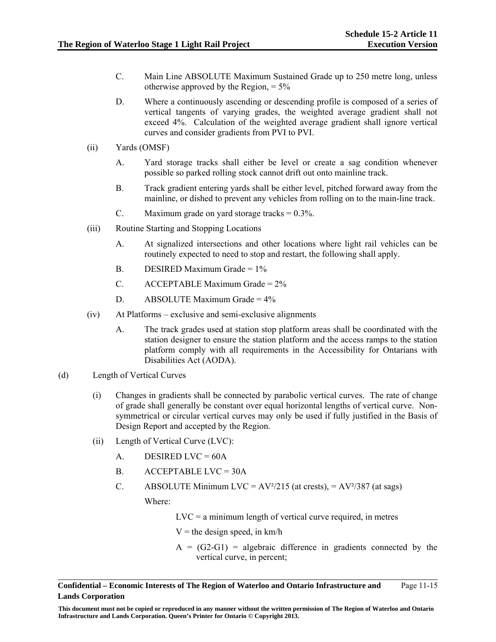- C. Main Line ABSOLUTE Maximum Sustained Grade up to 250 metre long, unless otherwise approved by the Region,  $= 5\%$
- D. Where a continuously ascending or descending profile is composed of a series of vertical tangents of varying grades, the weighted average gradient shall not exceed 4%. Calculation of the weighted average gradient shall ignore vertical curves and consider gradients from PVI to PVI.
- (ii) Yards (OMSF)
	- A. Yard storage tracks shall either be level or create a sag condition whenever possible so parked rolling stock cannot drift out onto mainline track.
	- B. Track gradient entering yards shall be either level, pitched forward away from the mainline, or dished to prevent any vehicles from rolling on to the main-line track.
	- C. Maximum grade on yard storage tracks  $= 0.3\%$ .
- (iii) Routine Starting and Stopping Locations
	- A. At signalized intersections and other locations where light rail vehicles can be routinely expected to need to stop and restart, the following shall apply.
	- B. DESIRED Maximum Grade = 1%
	- C. ACCEPTABLE Maximum Grade =  $2\%$
	- D. ABSOLUTE Maximum Grade =  $4\%$
- (iv) At Platforms exclusive and semi-exclusive alignments
	- A. The track grades used at station stop platform areas shall be coordinated with the station designer to ensure the station platform and the access ramps to the station platform comply with all requirements in the Accessibility for Ontarians with Disabilities Act (AODA).
- (d) Length of Vertical Curves
	- (i) Changes in gradients shall be connected by parabolic vertical curves. The rate of change of grade shall generally be constant over equal horizontal lengths of vertical curve. Nonsymmetrical or circular vertical curves may only be used if fully justified in the Basis of Design Report and accepted by the Region.
	- (ii) Length of Vertical Curve (LVC):
		- $A.$  DESIRED LVC = 60A
		- $B.$  ACCEPTABLE LVC = 30A
		- C. ABSOLUTE Minimum LVC =  $AV^2/215$  (at crests), =  $AV^2/387$  (at sags)

Where:

- $LVC = a$  minimum length of vertical curve required, in metres
- $V =$  the design speed, in km/h
- $A = (G2-G1)$  = algebraic difference in gradients connected by the vertical curve, in percent;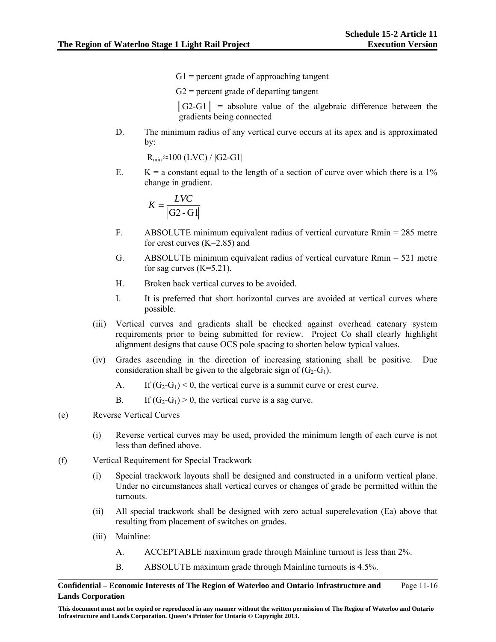$G1$  = percent grade of approaching tangent

 $G2$  = percent grade of departing tangent

 $|G2-G1|$  = absolute value of the algebraic difference between the gradients being connected

D. The minimum radius of any vertical curve occurs at its apex and is approximated by:

 $R_{min} \approx 100$  (LVC) /  $|G2-G1|$ 

E.  $K = a$  constant equal to the length of a section of curve over which there is a 1% change in gradient.

$$
K = \frac{LVC}{|G2 - G1|}
$$

- F. ABSOLUTE minimum equivalent radius of vertical curvature Rmin = 285 metre for crest curves (K=2.85) and
- G. ABSOLUTE minimum equivalent radius of vertical curvature Rmin = 521 metre for sag curves  $(K=5.21)$ .
- H. Broken back vertical curves to be avoided.
- I. It is preferred that short horizontal curves are avoided at vertical curves where possible.
- (iii) Vertical curves and gradients shall be checked against overhead catenary system requirements prior to being submitted for review. Project Co shall clearly highlight alignment designs that cause OCS pole spacing to shorten below typical values.
- (iv) Grades ascending in the direction of increasing stationing shall be positive. Due consideration shall be given to the algebraic sign of  $(G_2-G_1)$ .
	- A. If  $(G_2-G_1) < 0$ , the vertical curve is a summit curve or crest curve.
	- B. If  $(G_2-G_1) > 0$ , the vertical curve is a sag curve.
- (e) Reverse Vertical Curves
	- (i) Reverse vertical curves may be used, provided the minimum length of each curve is not less than defined above.
- (f) Vertical Requirement for Special Trackwork
	- (i) Special trackwork layouts shall be designed and constructed in a uniform vertical plane. Under no circumstances shall vertical curves or changes of grade be permitted within the turnouts.
	- (ii) All special trackwork shall be designed with zero actual superelevation (Ea) above that resulting from placement of switches on grades.
	- (iii) Mainline:
		- A. ACCEPTABLE maximum grade through Mainline turnout is less than 2%.
		- B. ABSOLUTE maximum grade through Mainline turnouts is 4.5%.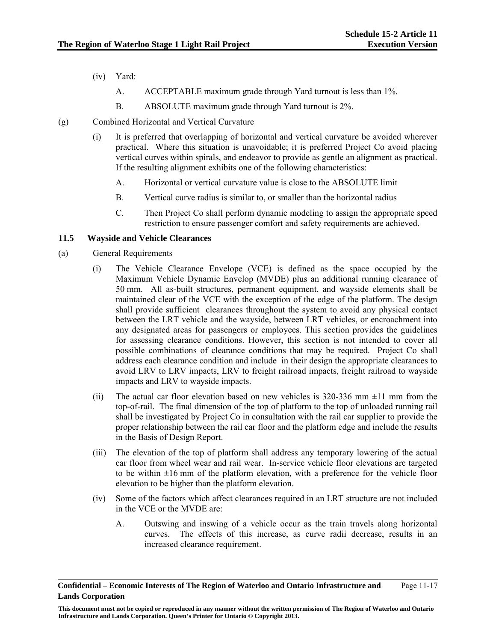- (iv) Yard:
	- A. ACCEPTABLE maximum grade through Yard turnout is less than 1%.
	- B. ABSOLUTE maximum grade through Yard turnout is 2%.
- (g) Combined Horizontal and Vertical Curvature
	- (i) It is preferred that overlapping of horizontal and vertical curvature be avoided wherever practical. Where this situation is unavoidable; it is preferred Project Co avoid placing vertical curves within spirals, and endeavor to provide as gentle an alignment as practical. If the resulting alignment exhibits one of the following characteristics:
		- A. Horizontal or vertical curvature value is close to the ABSOLUTE limit
		- B. Vertical curve radius is similar to, or smaller than the horizontal radius
		- C. Then Project Co shall perform dynamic modeling to assign the appropriate speed restriction to ensure passenger comfort and safety requirements are achieved.

# **11.5 Wayside and Vehicle Clearances**

- (a) General Requirements
	- (i) The Vehicle Clearance Envelope (VCE) is defined as the space occupied by the Maximum Vehicle Dynamic Envelop (MVDE) plus an additional running clearance of 50 mm. All as-built structures, permanent equipment, and wayside elements shall be maintained clear of the VCE with the exception of the edge of the platform. The design shall provide sufficient clearances throughout the system to avoid any physical contact between the LRT vehicle and the wayside, between LRT vehicles, or encroachment into any designated areas for passengers or employees. This section provides the guidelines for assessing clearance conditions. However, this section is not intended to cover all possible combinations of clearance conditions that may be required. Project Co shall address each clearance condition and include in their design the appropriate clearances to avoid LRV to LRV impacts, LRV to freight railroad impacts, freight railroad to wayside impacts and LRV to wayside impacts.
	- (ii) The actual car floor elevation based on new vehicles is  $320-336$  mm  $\pm 11$  mm from the top-of-rail. The final dimension of the top of platform to the top of unloaded running rail shall be investigated by Project Co in consultation with the rail car supplier to provide the proper relationship between the rail car floor and the platform edge and include the results in the Basis of Design Report.
	- (iii) The elevation of the top of platform shall address any temporary lowering of the actual car floor from wheel wear and rail wear. In-service vehicle floor elevations are targeted to be within  $\pm 16$  mm of the platform elevation, with a preference for the vehicle floor elevation to be higher than the platform elevation.
	- (iv) Some of the factors which affect clearances required in an LRT structure are not included in the VCE or the MVDE are:
		- A. Outswing and inswing of a vehicle occur as the train travels along horizontal curves. The effects of this increase, as curve radii decrease, results in an increased clearance requirement.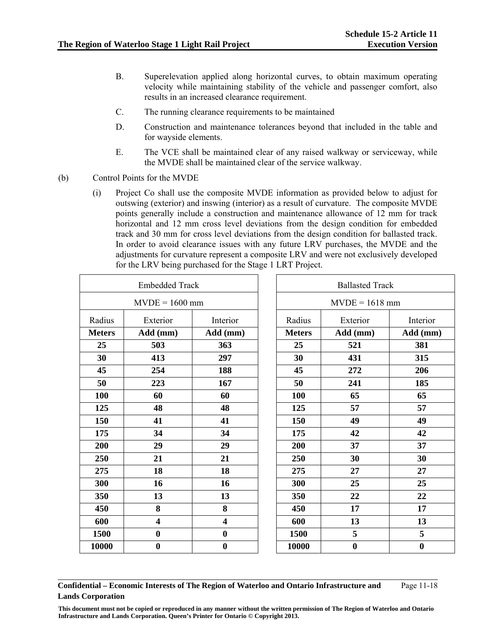- B. Superelevation applied along horizontal curves, to obtain maximum operating velocity while maintaining stability of the vehicle and passenger comfort, also results in an increased clearance requirement.
- C. The running clearance requirements to be maintained
- D. Construction and maintenance tolerances beyond that included in the table and for wayside elements.
- E. The VCE shall be maintained clear of any raised walkway or serviceway, while the MVDE shall be maintained clear of the service walkway.
- (b) Control Points for the MVDE
	- (i) Project Co shall use the composite MVDE information as provided below to adjust for outswing (exterior) and inswing (interior) as a result of curvature. The composite MVDE points generally include a construction and maintenance allowance of 12 mm for track horizontal and 12 mm cross level deviations from the design condition for embedded track and 30 mm for cross level deviations from the design condition for ballasted track. In order to avoid clearance issues with any future LRV purchases, the MVDE and the adjustments for curvature represent a composite LRV and were not exclusively developed for the LRV being purchased for the Stage 1 LRT Project.

| <b>Embedded Track</b> |                         |                         | <b>Ballasted Track</b> |                  |                  |
|-----------------------|-------------------------|-------------------------|------------------------|------------------|------------------|
| $MVDE = 1600$ mm      |                         |                         | $MVDE = 1618$ mm       |                  |                  |
| Radius                | Exterior                | Interior                | Radius                 | Exterior         | Interior         |
| <b>Meters</b>         | Add (mm)                | Add (mm)                | <b>Meters</b>          | Add (mm)         | Add (mm)         |
| 25                    | 503                     | 363                     | 25                     | 521              | 381              |
| 30                    | 413                     | 297                     | 30                     | 431              | 315              |
| 45                    | 254                     | 188                     | 45                     | 272              | 206              |
| 50                    | 223                     | 167                     | 50                     | 241              | 185              |
| 100                   | 60                      | 60                      | 100                    | 65               | 65               |
| 125                   | 48                      | 48                      | 125                    | 57               | 57               |
| 150                   | 41                      | 41                      | 150                    | 49               | 49               |
| 175                   | 34                      | 34                      | 175                    | 42               | 42               |
| 200                   | 29                      | 29                      | 200                    | 37               | 37               |
| 250                   | 21                      | 21                      | 250                    | 30               | 30               |
| 275                   | 18                      | 18                      | 275                    | 27               | 27               |
| 300                   | 16                      | 16                      | 300                    | 25               | 25               |
| 350                   | 13                      | 13                      | 350                    | 22               | 22               |
| 450                   | 8                       | 8                       | 450                    | 17               | 17               |
| 600                   | $\overline{\mathbf{4}}$ | $\overline{\mathbf{4}}$ | 600                    | 13               | 13               |
| 1500                  | $\boldsymbol{0}$        | $\bf{0}$                | 1500                   | 5                | 5                |
| 10000                 | $\boldsymbol{0}$        | $\bf{0}$                | 10000                  | $\boldsymbol{0}$ | $\boldsymbol{0}$ |

**Confidential – Economic Interests of The Region of Waterloo and Ontario Infrastructure and Lands Corporation** 

Page 11-18

**This document must not be copied or reproduced in any manner without the written permission of The Region of Waterloo and Ontario Infrastructure and Lands Corporation. Queen's Printer for Ontario © Copyright 2013.**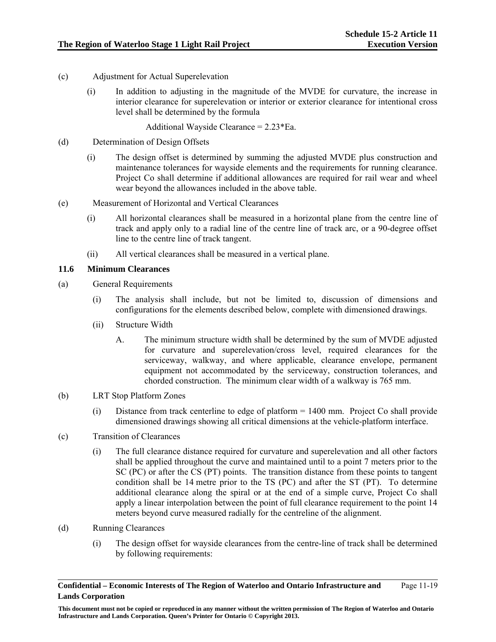- (c) Adjustment for Actual Superelevation
	- (i) In addition to adjusting in the magnitude of the MVDE for curvature, the increase in interior clearance for superelevation or interior or exterior clearance for intentional cross level shall be determined by the formula

Additional Wayside Clearance = 2.23\*Ea.

- (d) Determination of Design Offsets
	- (i) The design offset is determined by summing the adjusted MVDE plus construction and maintenance tolerances for wayside elements and the requirements for running clearance. Project Co shall determine if additional allowances are required for rail wear and wheel wear beyond the allowances included in the above table.
- (e) Measurement of Horizontal and Vertical Clearances
	- (i) All horizontal clearances shall be measured in a horizontal plane from the centre line of track and apply only to a radial line of the centre line of track arc, or a 90-degree offset line to the centre line of track tangent.
	- (ii) All vertical clearances shall be measured in a vertical plane.

# **11.6 Minimum Clearances**

- (a) General Requirements
	- (i) The analysis shall include, but not be limited to, discussion of dimensions and configurations for the elements described below, complete with dimensioned drawings.
	- (ii) Structure Width
		- A. The minimum structure width shall be determined by the sum of MVDE adjusted for curvature and superelevation/cross level, required clearances for the serviceway, walkway, and where applicable, clearance envelope, permanent equipment not accommodated by the serviceway, construction tolerances, and chorded construction. The minimum clear width of a walkway is 765 mm.
- (b) LRT Stop Platform Zones
	- (i) Distance from track centerline to edge of platform = 1400 mm. Project Co shall provide dimensioned drawings showing all critical dimensions at the vehicle-platform interface.
- (c) Transition of Clearances
	- (i) The full clearance distance required for curvature and superelevation and all other factors shall be applied throughout the curve and maintained until to a point 7 meters prior to the SC (PC) or after the CS (PT) points. The transition distance from these points to tangent condition shall be 14 metre prior to the TS (PC) and after the ST (PT). To determine additional clearance along the spiral or at the end of a simple curve, Project Co shall apply a linear interpolation between the point of full clearance requirement to the point 14 meters beyond curve measured radially for the centreline of the alignment.
- (d) Running Clearances
	- (i) The design offset for wayside clearances from the centre-line of track shall be determined by following requirements: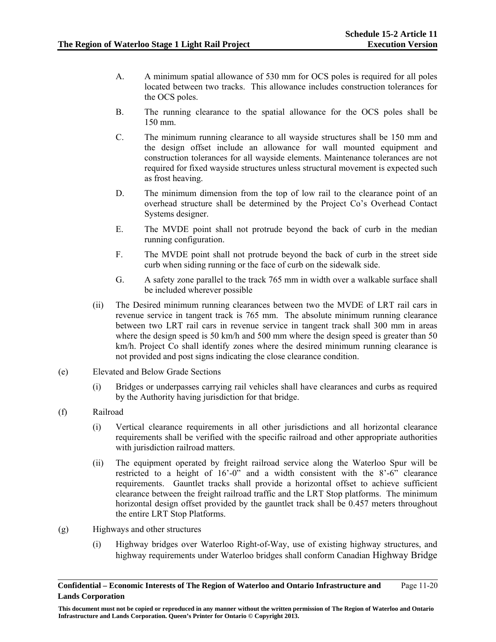- A. A minimum spatial allowance of 530 mm for OCS poles is required for all poles located between two tracks. This allowance includes construction tolerances for the OCS poles.
- B. The running clearance to the spatial allowance for the OCS poles shall be 150 mm.
- C. The minimum running clearance to all wayside structures shall be 150 mm and the design offset include an allowance for wall mounted equipment and construction tolerances for all wayside elements. Maintenance tolerances are not required for fixed wayside structures unless structural movement is expected such as frost heaving.
- D. The minimum dimension from the top of low rail to the clearance point of an overhead structure shall be determined by the Project Co's Overhead Contact Systems designer.
- E. The MVDE point shall not protrude beyond the back of curb in the median running configuration.
- F. The MVDE point shall not protrude beyond the back of curb in the street side curb when siding running or the face of curb on the sidewalk side.
- G. A safety zone parallel to the track 765 mm in width over a walkable surface shall be included wherever possible
- (ii) The Desired minimum running clearances between two the MVDE of LRT rail cars in revenue service in tangent track is 765 mm. The absolute minimum running clearance between two LRT rail cars in revenue service in tangent track shall 300 mm in areas where the design speed is 50 km/h and 500 mm where the design speed is greater than 50 km/h. Project Co shall identify zones where the desired minimum running clearance is not provided and post signs indicating the close clearance condition.
- (e) Elevated and Below Grade Sections
	- (i) Bridges or underpasses carrying rail vehicles shall have clearances and curbs as required by the Authority having jurisdiction for that bridge.
- (f) Railroad
	- (i) Vertical clearance requirements in all other jurisdictions and all horizontal clearance requirements shall be verified with the specific railroad and other appropriate authorities with jurisdiction railroad matters.
	- (ii) The equipment operated by freight railroad service along the Waterloo Spur will be restricted to a height of 16'-0" and a width consistent with the 8'-6" clearance requirements. Gauntlet tracks shall provide a horizontal offset to achieve sufficient clearance between the freight railroad traffic and the LRT Stop platforms. The minimum horizontal design offset provided by the gauntlet track shall be 0.457 meters throughout the entire LRT Stop Platforms.
- (g) Highways and other structures
	- (i) Highway bridges over Waterloo Right-of-Way, use of existing highway structures, and highway requirements under Waterloo bridges shall conform Canadian Highway Bridge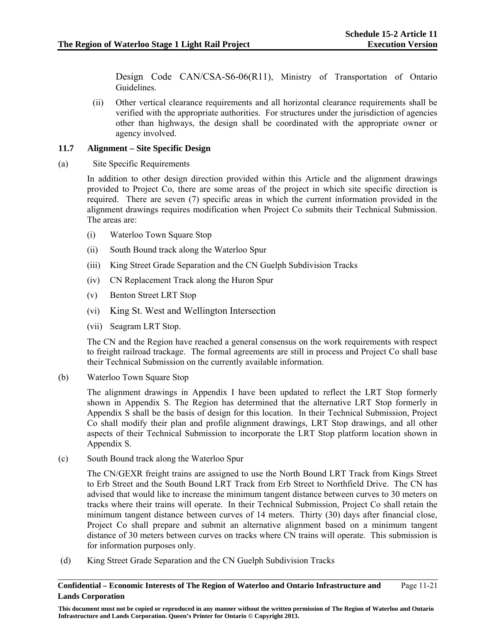Design Code CAN/CSA-S6-06(R11), Ministry of Transportation of Ontario Guidelines.

(ii) Other vertical clearance requirements and all horizontal clearance requirements shall be verified with the appropriate authorities. For structures under the jurisdiction of agencies other than highways, the design shall be coordinated with the appropriate owner or agency involved.

### **11.7 Alignment – Site Specific Design**

(a) Site Specific Requirements

In addition to other design direction provided within this Article and the alignment drawings provided to Project Co, there are some areas of the project in which site specific direction is required. There are seven (7) specific areas in which the current information provided in the alignment drawings requires modification when Project Co submits their Technical Submission. The areas are:

- (i) Waterloo Town Square Stop
- (ii) South Bound track along the Waterloo Spur
- (iii) King Street Grade Separation and the CN Guelph Subdivision Tracks
- (iv) CN Replacement Track along the Huron Spur
- (v) Benton Street LRT Stop
- (vi) King St. West and Wellington Intersection
- (vii) Seagram LRT Stop.

The CN and the Region have reached a general consensus on the work requirements with respect to freight railroad trackage. The formal agreements are still in process and Project Co shall base their Technical Submission on the currently available information.

(b) Waterloo Town Square Stop

The alignment drawings in Appendix I have been updated to reflect the LRT Stop formerly shown in Appendix S. The Region has determined that the alternative LRT Stop formerly in Appendix S shall be the basis of design for this location. In their Technical Submission, Project Co shall modify their plan and profile alignment drawings, LRT Stop drawings, and all other aspects of their Technical Submission to incorporate the LRT Stop platform location shown in Appendix S.

(c) South Bound track along the Waterloo Spur

The CN/GEXR freight trains are assigned to use the North Bound LRT Track from Kings Street to Erb Street and the South Bound LRT Track from Erb Street to Northfield Drive. The CN has advised that would like to increase the minimum tangent distance between curves to 30 meters on tracks where their trains will operate. In their Technical Submission, Project Co shall retain the minimum tangent distance between curves of 14 meters. Thirty (30) days after financial close, Project Co shall prepare and submit an alternative alignment based on a minimum tangent distance of 30 meters between curves on tracks where CN trains will operate. This submission is for information purposes only.

(d) King Street Grade Separation and the CN Guelph Subdivision Tracks